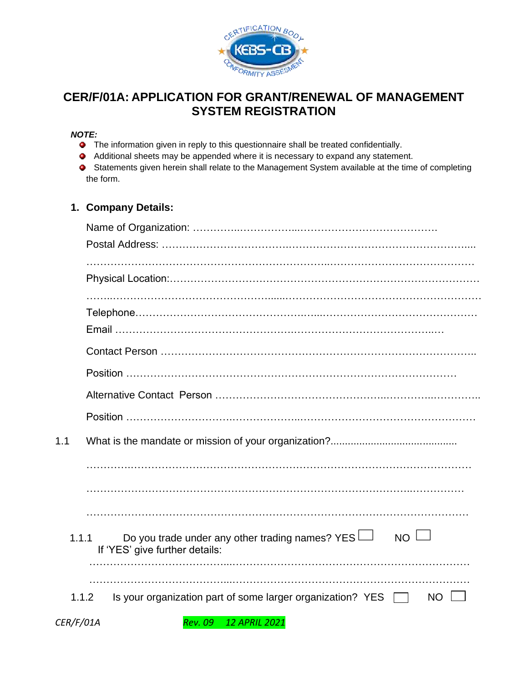

# **CER/F/01A: APPLICATION FOR GRANT/RENEWAL OF MANAGEMENT SYSTEM REGISTRATION**

#### *NOTE:*

- **The information given in reply to this questionnaire shall be treated confidentially.**
- Additional sheets may be appended where it is necessary to expand any statement.
- Statements given herein shall relate to the Management System available at the time of completing the form.

## **1. Company Details:**

| 1.1       |                                                                                                    |
|-----------|----------------------------------------------------------------------------------------------------|
|           |                                                                                                    |
|           |                                                                                                    |
|           |                                                                                                    |
| 1.1.1     | Do you trade under any other trading names? $YES$<br>$NO \sqcup$<br>If 'YES' give further details: |
|           | Is your organization part of some larger organization? YES<br>1.1.2<br>NO.                         |
| CER/F/01A | <b>Rev. 09</b><br><b>12 APRIL 2021</b>                                                             |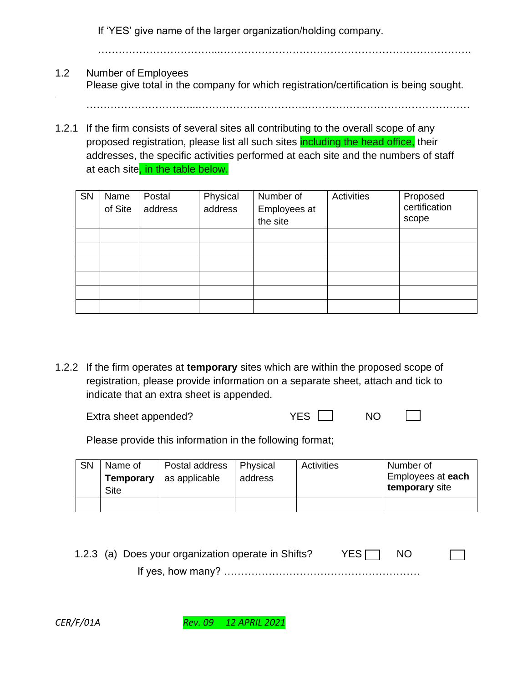If 'YES' give name of the larger organization/holding company.

…………………………...………………………….…………………………………………

- 1.2 Number of Employees Please give total in the company for which registration/certification is being sought.
- 1.2.1 If the firm consists of several sites all contributing to the overall scope of any proposed registration, please list all such sites including the head office, their addresses, the specific activities performed at each site and the numbers of staff at each site, in the table below.

| <b>SN</b> | Name<br>of Site | Postal<br>address | Physical<br>address | Number of<br>Employees at<br>the site | Activities | Proposed<br>certification<br>scope |
|-----------|-----------------|-------------------|---------------------|---------------------------------------|------------|------------------------------------|
|           |                 |                   |                     |                                       |            |                                    |
|           |                 |                   |                     |                                       |            |                                    |
|           |                 |                   |                     |                                       |            |                                    |
|           |                 |                   |                     |                                       |            |                                    |
|           |                 |                   |                     |                                       |            |                                    |
|           |                 |                   |                     |                                       |            |                                    |

1.2.2 If the firm operates at **temporary** sites which are within the proposed scope of registration, please provide information on a separate sheet, attach and tick to indicate that an extra sheet is appended.

| Extra sheet appended? | <b>NO</b> |  |
|-----------------------|-----------|--|
|                       |           |  |

Please provide this information in the following format;

| <b>SN</b> | Name of<br>Temporary<br>Site | Postal address<br>as applicable | <b>Physical</b><br>address | Activities | Number of<br>Employees at each<br>temporary site |
|-----------|------------------------------|---------------------------------|----------------------------|------------|--------------------------------------------------|
|           |                              |                                 |                            |            |                                                  |

1.2.3 (a) Does your organization operate in Shifts? YES  $\Box$  NO

If yes, how many? …………………………………………………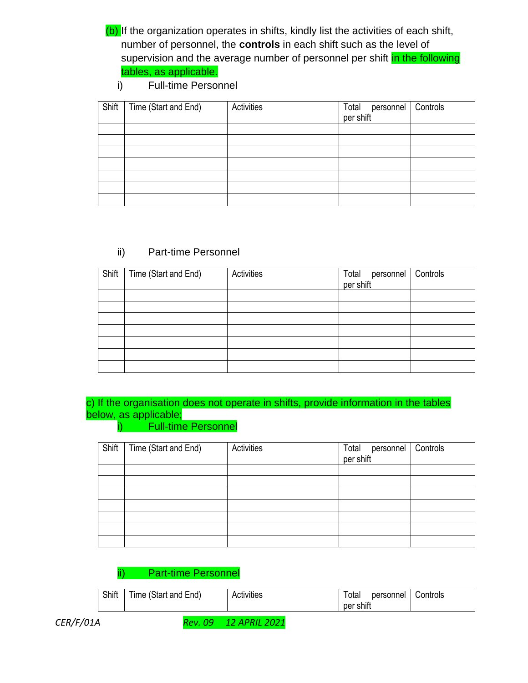(b) If the organization operates in shifts, kindly list the activities of each shift, number of personnel, the **controls** in each shift such as the level of supervision and the average number of personnel per shift in the following tables, as applicable.

i) Full-time Personnel

| Shift | Time (Start and End) | Activities | Total personnel<br>per shift | Controls |
|-------|----------------------|------------|------------------------------|----------|
|       |                      |            |                              |          |
|       |                      |            |                              |          |
|       |                      |            |                              |          |
|       |                      |            |                              |          |
|       |                      |            |                              |          |
|       |                      |            |                              |          |
|       |                      |            |                              |          |

## ii) Part-time Personnel

| Shift | Time (Start and End) | Activities | Total personnel<br>per shift | Controls |
|-------|----------------------|------------|------------------------------|----------|
|       |                      |            |                              |          |
|       |                      |            |                              |          |
|       |                      |            |                              |          |
|       |                      |            |                              |          |
|       |                      |            |                              |          |
|       |                      |            |                              |          |
|       |                      |            |                              |          |

# c) If the organisation does not operate in shifts, provide information in the tables below, as applicable;

#### i) Full-time Personnel

| Shift | Time (Start and End) | Activities | Total<br>per shift<br>personnel | Controls |
|-------|----------------------|------------|---------------------------------|----------|
|       |                      |            |                                 |          |
|       |                      |            |                                 |          |
|       |                      |            |                                 |          |
|       |                      |            |                                 |          |
|       |                      |            |                                 |          |
|       |                      |            |                                 |          |
|       |                      |            |                                 |          |

# ii) Part-time Personnel

| Shift | Time (Start and End) | Activities | ⊺otal<br>per shift | personnel | Controls |
|-------|----------------------|------------|--------------------|-----------|----------|
|       |                      |            |                    |           |          |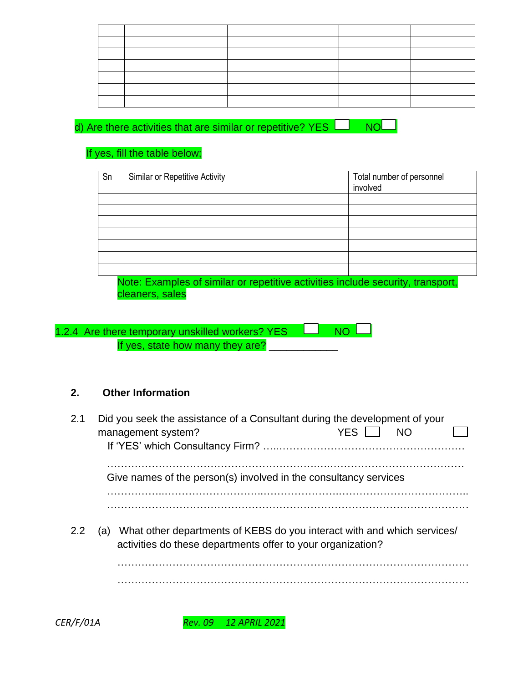d) Are there activities that are similar or repetitive? YES  $\Box$  NO $\Box$ 

# If yes, fill the table below;

| Sn | <b>Similar or Repetitive Activity</b>                                           | Total number of personnel<br>involved |  |  |
|----|---------------------------------------------------------------------------------|---------------------------------------|--|--|
|    |                                                                                 |                                       |  |  |
|    |                                                                                 |                                       |  |  |
|    |                                                                                 |                                       |  |  |
|    |                                                                                 |                                       |  |  |
|    |                                                                                 |                                       |  |  |
|    |                                                                                 |                                       |  |  |
|    |                                                                                 |                                       |  |  |
|    | Note: Examples of similar or repetitive activities include security, transport, |                                       |  |  |

cleaners, sales

| 1.2.4 Are there temporary unskilled workers? YES LU NOLU |  |
|----------------------------------------------------------|--|
| If yes, state how many they are?                         |  |

# **2. Other Information**

| 2.1 | Did you seek the assistance of a Consultant during the development of your<br>management system?                                           | YES I | <b>NO</b> |  |
|-----|--------------------------------------------------------------------------------------------------------------------------------------------|-------|-----------|--|
|     | Give names of the person(s) involved in the consultancy services                                                                           |       |           |  |
| 2.2 | (a) What other departments of KEBS do you interact with and which services/<br>activities do these departments offer to your organization? |       |           |  |
|     |                                                                                                                                            |       |           |  |
|     |                                                                                                                                            |       |           |  |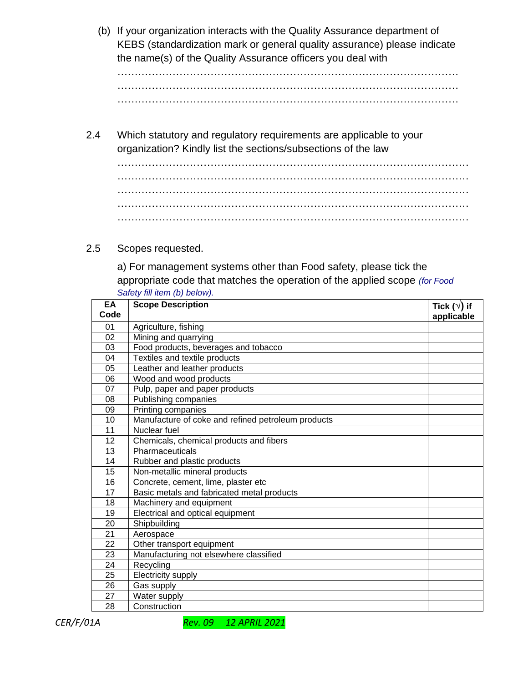(b) If your organization interacts with the Quality Assurance department of KEBS (standardization mark or general quality assurance) please indicate the name(s) of the Quality Assurance officers you deal with

……………………………………………………………………………………… ……………………………………………………………………………………… ………………………………………………………………………………………

2.4 Which statutory and regulatory requirements are applicable to your organization? Kindly list the sections/subsections of the law

………………………………………………………………………………………… ………………………………………………………………………………………… ………………………………………………………………………………………… ………………………………………………………………………………………… …………………………………………………………………………………………

### 2.5 Scopes requested.

a) For management systems other than Food safety, please tick the appropriate code that matches the operation of the applied scope *(for Food Safety fill item (b) below).*

| EA<br>Code      | <b>Scope Description</b>                           | Tick $(\sqrt{})$ if |
|-----------------|----------------------------------------------------|---------------------|
|                 |                                                    | applicable          |
| 01              | Agriculture, fishing                               |                     |
| 02              | Mining and quarrying                               |                     |
| 03              | Food products, beverages and tobacco               |                     |
| 04              | Textiles and textile products                      |                     |
| 05              | Leather and leather products                       |                     |
| 06              | Wood and wood products                             |                     |
| 07              | Pulp, paper and paper products                     |                     |
| 08              | Publishing companies                               |                     |
| 09              | Printing companies                                 |                     |
| 10              | Manufacture of coke and refined petroleum products |                     |
| 11              | Nuclear fuel                                       |                     |
| 12              | Chemicals, chemical products and fibers            |                     |
| 13              | Pharmaceuticals                                    |                     |
| 14              | Rubber and plastic products                        |                     |
| 15              | Non-metallic mineral products                      |                     |
| 16              | Concrete, cement, lime, plaster etc                |                     |
| 17              | Basic metals and fabricated metal products         |                     |
| 18              | Machinery and equipment                            |                     |
| 19              | Electrical and optical equipment                   |                     |
| 20              | Shipbuilding                                       |                     |
| $\overline{21}$ | Aerospace                                          |                     |
| 22              | Other transport equipment                          |                     |
| 23              | Manufacturing not elsewhere classified             |                     |
| 24              | Recycling                                          |                     |
| 25              | Electricity supply                                 |                     |
| 26              | Gas supply                                         |                     |
| 27              | Water supply                                       |                     |
| 28              | Construction                                       |                     |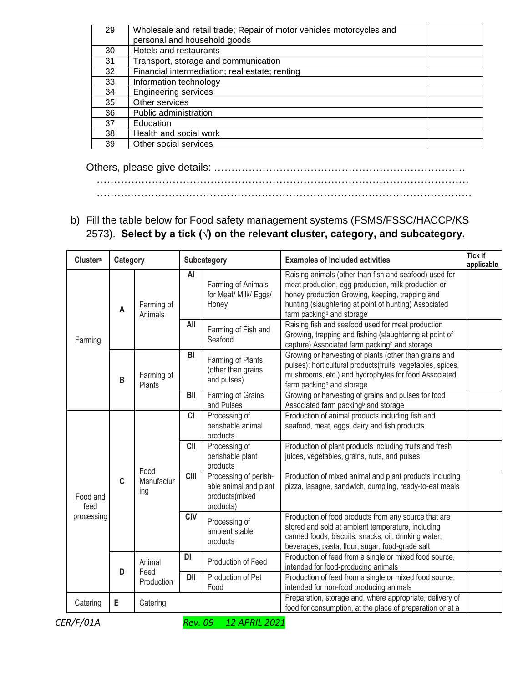| 29 | Wholesale and retail trade; Repair of motor vehicles motorcycles and |  |
|----|----------------------------------------------------------------------|--|
|    | personal and household goods                                         |  |
| 30 | Hotels and restaurants                                               |  |
| 31 | Transport, storage and communication                                 |  |
| 32 | Financial intermediation; real estate; renting                       |  |
| 33 | Information technology                                               |  |
| 34 | <b>Engineering services</b>                                          |  |
| 35 | Other services                                                       |  |
| 36 | Public administration                                                |  |
| 37 | Education                                                            |  |
| 38 | Health and social work                                               |  |
| 39 | Other social services                                                |  |
|    |                                                                      |  |

Others, please give details: ………………………………………………………………. ………………………………………………………………………………………………

……….………………………………………………………………………………………

b) Fill the table below for Food safety management systems (FSMS/FSSC/HACCP/KS 2573). **Select by a tick (√) on the relevant cluster, category, and subcategory.**

| Cluster <sup>a</sup><br>Category |   |                                |             | Subcategory                                                                   | <b>Examples of included activities</b>                                                                                                                                                                                                                             | Tick if<br>applicable |
|----------------------------------|---|--------------------------------|-------------|-------------------------------------------------------------------------------|--------------------------------------------------------------------------------------------------------------------------------------------------------------------------------------------------------------------------------------------------------------------|-----------------------|
|                                  | A | Farming of<br>Animals          | AI          | Farming of Animals<br>for Meat/ Milk/ Eggs/<br>Honey                          | Raising animals (other than fish and seafood) used for<br>meat production, egg production, milk production or<br>honey production Growing, keeping, trapping and<br>hunting (slaughtering at point of hunting) Associated<br>farm packing <sup>b</sup> and storage |                       |
| Farming                          |   |                                | All         | Farming of Fish and<br>Seafood                                                | Raising fish and seafood used for meat production<br>Growing, trapping and fishing (slaughtering at point of<br>capture) Associated farm packing <sup>b</sup> and storage                                                                                          |                       |
|                                  | B | Farming of<br>Plants           | BI          | Farming of Plants<br>(other than grains<br>and pulses)                        | Growing or harvesting of plants (other than grains and<br>pulses): horticultural products(fruits, vegetables, spices,<br>mushrooms, etc.) and hydrophytes for food Associated<br>farm packing <sup>b</sup> and storage                                             |                       |
|                                  |   |                                | BII         | Farming of Grains<br>and Pulses                                               | Growing or harvesting of grains and pulses for food<br>Associated farm packing <sup>b</sup> and storage                                                                                                                                                            |                       |
|                                  |   |                                | <b>CI</b>   | Processing of<br>perishable animal<br>products                                | Production of animal products including fish and<br>seafood, meat, eggs, dairy and fish products                                                                                                                                                                   |                       |
|                                  |   | Food<br>C<br>Manufactur<br>ing | <b>CII</b>  | Processing of<br>perishable plant<br>products                                 | Production of plant products including fruits and fresh<br>juices, vegetables, grains, nuts, and pulses                                                                                                                                                            |                       |
| Food and<br>feed                 |   |                                | <b>CIII</b> | Processing of perish-<br>able animal and plant<br>products(mixed<br>products) | Production of mixed animal and plant products including<br>pizza, lasagne, sandwich, dumpling, ready-to-eat meals                                                                                                                                                  |                       |
| processing                       |   |                                | <b>CIV</b>  | Processing of<br>ambient stable<br>products                                   | Production of food products from any source that are<br>stored and sold at ambient temperature, including<br>canned foods, biscuits, snacks, oil, drinking water,<br>beverages, pasta, flour, sugar, food-grade salt                                               |                       |
|                                  | D | Animal                         | DI          | Production of Feed                                                            | Production of feed from a single or mixed food source,<br>intended for food-producing animals                                                                                                                                                                      |                       |
|                                  |   | Feed<br>Production             | <b>DII</b>  | Production of Pet<br>Food                                                     | Production of feed from a single or mixed food source,<br>intended for non-food producing animals                                                                                                                                                                  |                       |
| Catering                         | E | Catering                       |             |                                                                               | Preparation, storage and, where appropriate, delivery of<br>food for consumption, at the place of preparation or at a                                                                                                                                              |                       |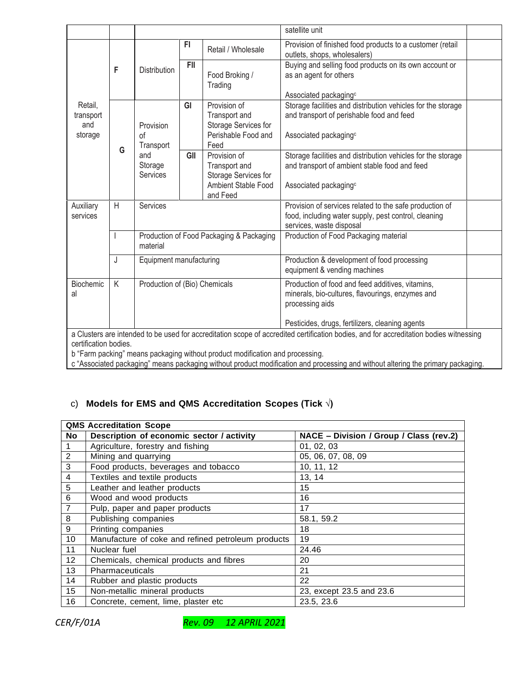|                                                                                                                                        |     |                                                      |            |                                                                                                 | satellite unit                                                                                                                                                             |  |
|----------------------------------------------------------------------------------------------------------------------------------------|-----|------------------------------------------------------|------------|-------------------------------------------------------------------------------------------------|----------------------------------------------------------------------------------------------------------------------------------------------------------------------------|--|
|                                                                                                                                        |     |                                                      | FI         | Retail / Wholesale                                                                              | Provision of finished food products to a customer (retail<br>outlets, shops, wholesalers)                                                                                  |  |
|                                                                                                                                        | F   | <b>Distribution</b>                                  | <b>FII</b> | Food Broking /<br>Trading                                                                       | Buying and selling food products on its own account or<br>as an agent for others<br>Associated packaging <sup>c</sup>                                                      |  |
| Retail,<br>transport<br>and<br>storage                                                                                                 | G   | Provision<br>οf<br>Transport                         | GI         | Provision of<br>Transport and<br>Storage Services for<br>Perishable Food and<br>Feed            | Storage facilities and distribution vehicles for the storage<br>and transport of perishable food and feed<br>Associated packaging <sup>c</sup>                             |  |
|                                                                                                                                        | and | Storage<br>Services                                  | GII        | Provision of<br>Transport and<br>Storage Services for<br><b>Ambient Stable Food</b><br>and Feed | Storage facilities and distribution vehicles for the storage<br>and transport of ambient stable food and feed<br>Associated packaging <sup>c</sup>                         |  |
| Auxiliary<br>services                                                                                                                  | H   | Services                                             |            |                                                                                                 | Provision of services related to the safe production of<br>food, including water supply, pest control, cleaning<br>services, waste disposal                                |  |
|                                                                                                                                        |     | Production of Food Packaging & Packaging<br>material |            |                                                                                                 | Production of Food Packaging material                                                                                                                                      |  |
|                                                                                                                                        | J   | Equipment manufacturing                              |            |                                                                                                 | Production & development of food processing<br>equipment & vending machines                                                                                                |  |
| Biochemic<br>al                                                                                                                        | K   | Production of (Bio) Chemicals                        |            |                                                                                                 | Production of food and feed additives, vitamins,<br>minerals, bio-cultures, flavourings, enzymes and<br>processing aids<br>Pesticides, drugs, fertilizers, cleaning agents |  |
| a Clusters are intended to be used for accreditation scope of accredited certification bodies, and for accreditation bodies witnessing |     |                                                      |            |                                                                                                 |                                                                                                                                                                            |  |
| certification bodies.                                                                                                                  |     |                                                      |            |                                                                                                 |                                                                                                                                                                            |  |

b "Farm packing" means packaging without product modification and processing.

c "Associated packaging" means packaging without product modification and processing and without altering the primary packaging.

#### c) **Models for EMS and QMS Accreditation Scopes (Tick √)**

|                 | <b>QMS Accreditation Scope</b>                     |                                         |  |  |  |  |
|-----------------|----------------------------------------------------|-----------------------------------------|--|--|--|--|
| No.             | Description of economic sector / activity          | NACE - Division / Group / Class (rev.2) |  |  |  |  |
| 1               | Agriculture, forestry and fishing                  | 01, 02, 03                              |  |  |  |  |
| $\overline{c}$  | Mining and quarrying                               | 05, 06, 07, 08, 09                      |  |  |  |  |
| 3               | Food products, beverages and tobacco               | 10, 11, 12                              |  |  |  |  |
| 4               | Textiles and textile products                      | 13, 14                                  |  |  |  |  |
| 5               | Leather and leather products                       | 15                                      |  |  |  |  |
| 6               | Wood and wood products                             | 16                                      |  |  |  |  |
| $\overline{7}$  | Pulp, paper and paper products                     | 17                                      |  |  |  |  |
| 8               | Publishing companies                               | 58.1, 59.2                              |  |  |  |  |
| 9               | Printing companies                                 | 18                                      |  |  |  |  |
| 10              | Manufacture of coke and refined petroleum products | 19                                      |  |  |  |  |
| 11              | Nuclear fuel                                       | 24.46                                   |  |  |  |  |
| 12 <sup>2</sup> | Chemicals, chemical products and fibres            | 20                                      |  |  |  |  |
| 13              | Pharmaceuticals                                    | 21                                      |  |  |  |  |
| 14              | Rubber and plastic products                        | 22                                      |  |  |  |  |
| 15              | Non-metallic mineral products                      | 23, except 23.5 and 23.6                |  |  |  |  |
| 16              | Concrete, cement, lime, plaster etc.               | 23.5, 23.6                              |  |  |  |  |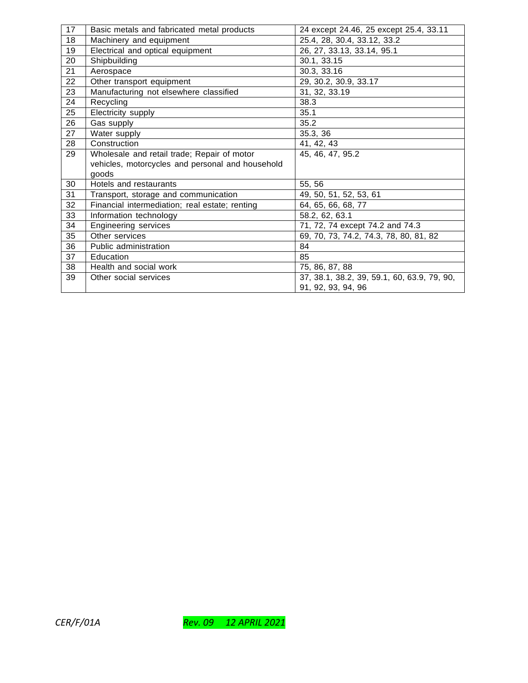| 17 | Basic metals and fabricated metal products       | 24 except 24.46, 25 except 25.4, 33.11      |
|----|--------------------------------------------------|---------------------------------------------|
| 18 | Machinery and equipment                          | 25.4, 28, 30.4, 33.12, 33.2                 |
| 19 | Electrical and optical equipment                 | 26, 27, 33.13, 33.14, 95.1                  |
| 20 | Shipbuilding                                     | 30.1, 33.15                                 |
| 21 | Aerospace                                        | 30.3, 33.16                                 |
| 22 | Other transport equipment                        | 29, 30.2, 30.9, 33.17                       |
| 23 | Manufacturing not elsewhere classified           | $\overline{31}$ , 32, 33.19                 |
| 24 | Recycling                                        | 38.3                                        |
| 25 | Electricity supply                               | 35.1                                        |
| 26 | Gas supply                                       | 35.2                                        |
| 27 | Water supply                                     | 35.3, 36                                    |
| 28 | Construction                                     | 41, 42, 43                                  |
| 29 | Wholesale and retail trade; Repair of motor      | 45, 46, 47, 95.2                            |
|    | vehicles, motorcycles and personal and household |                                             |
|    | goods                                            |                                             |
| 30 | Hotels and restaurants                           | 55, 56                                      |
| 31 | Transport, storage and communication             | 49, 50, 51, 52, 53, 61                      |
| 32 | Financial intermediation; real estate; renting   | 64, 65, 66, 68, 77                          |
| 33 | Information technology                           | 58.2, 62, 63.1                              |
| 34 | <b>Engineering services</b>                      | 71, 72, 74 except 74.2 and 74.3             |
| 35 | Other services                                   | 69, 70, 73, 74.2, 74.3, 78, 80, 81, 82      |
| 36 | Public administration                            | 84                                          |
| 37 | Education                                        | 85                                          |
| 38 | Health and social work                           | 75, 86, 87, 88                              |
| 39 | Other social services                            | 37, 38.1, 38.2, 39, 59.1, 60, 63.9, 79, 90, |
|    |                                                  | 91, 92, 93, 94, 96                          |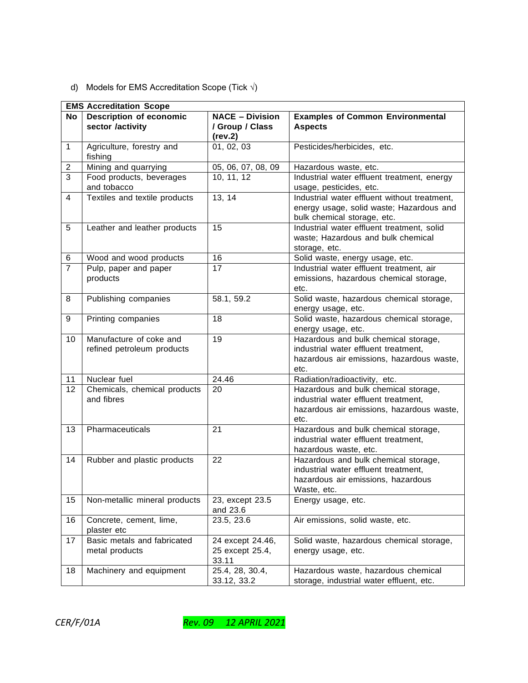# d) Models for EMS Accreditation Scope (Tick  $\sqrt{ }$ )

|                         | <b>EMS Accreditation Scope</b>             |                        |                                                                              |  |  |  |
|-------------------------|--------------------------------------------|------------------------|------------------------------------------------------------------------------|--|--|--|
| <b>No</b>               | <b>Description of economic</b>             | <b>NACE - Division</b> | <b>Examples of Common Environmental</b>                                      |  |  |  |
|                         | sector /activity                           | / Group / Class        | <b>Aspects</b>                                                               |  |  |  |
|                         |                                            | (rev.2)                |                                                                              |  |  |  |
| $\mathbf{1}$            | Agriculture, forestry and                  | 01, 02, 03             | Pesticides/herbicides, etc.                                                  |  |  |  |
|                         | fishing                                    |                        |                                                                              |  |  |  |
| $\overline{c}$          | Mining and quarrying                       | 05, 06, 07, 08, 09     | Hazardous waste, etc.                                                        |  |  |  |
| $\overline{3}$          | Food products, beverages                   | 10, 11, 12             | Industrial water effluent treatment, energy                                  |  |  |  |
|                         | and tobacco                                |                        | usage, pesticides, etc.                                                      |  |  |  |
| $\overline{\mathbf{4}}$ | Textiles and textile products              | 13, 14                 | Industrial water effluent without treatment,                                 |  |  |  |
|                         |                                            |                        | energy usage, solid waste; Hazardous and                                     |  |  |  |
|                         |                                            |                        | bulk chemical storage, etc.                                                  |  |  |  |
| 5                       | Leather and leather products               | 15                     | Industrial water effluent treatment, solid                                   |  |  |  |
|                         |                                            |                        | waste; Hazardous and bulk chemical                                           |  |  |  |
|                         |                                            |                        | storage, etc.                                                                |  |  |  |
| 6                       | Wood and wood products                     | 16                     | Solid waste, energy usage, etc.                                              |  |  |  |
| $\overline{7}$          | Pulp, paper and paper                      | 17                     | Industrial water effluent treatment, air                                     |  |  |  |
|                         | products                                   |                        | emissions, hazardous chemical storage,                                       |  |  |  |
|                         |                                            |                        | etc.                                                                         |  |  |  |
| 8                       | Publishing companies                       | 58.1, 59.2             | Solid waste, hazardous chemical storage,                                     |  |  |  |
|                         |                                            |                        | energy usage, etc.                                                           |  |  |  |
| 9                       | Printing companies                         | 18                     | Solid waste, hazardous chemical storage,                                     |  |  |  |
|                         |                                            |                        | energy usage, etc.                                                           |  |  |  |
| 10                      | Manufacture of coke and                    | 19                     | Hazardous and bulk chemical storage,                                         |  |  |  |
|                         | refined petroleum products                 |                        | industrial water effluent treatment,                                         |  |  |  |
|                         |                                            |                        | hazardous air emissions, hazardous waste,                                    |  |  |  |
|                         |                                            |                        | etc.                                                                         |  |  |  |
| 11                      | Nuclear fuel                               | 24.46                  | Radiation/radioactivity, etc.                                                |  |  |  |
| 12                      | Chemicals, chemical products<br>and fibres | 20                     | Hazardous and bulk chemical storage,<br>industrial water effluent treatment, |  |  |  |
|                         |                                            |                        |                                                                              |  |  |  |
|                         |                                            |                        | hazardous air emissions, hazardous waste,<br>etc.                            |  |  |  |
| 13                      | Pharmaceuticals                            | 21                     | Hazardous and bulk chemical storage,                                         |  |  |  |
|                         |                                            |                        | industrial water effluent treatment,                                         |  |  |  |
|                         |                                            |                        | hazardous waste, etc.                                                        |  |  |  |
| 14                      | Rubber and plastic products                | 22                     | Hazardous and bulk chemical storage,                                         |  |  |  |
|                         |                                            |                        | industrial water effluent treatment,                                         |  |  |  |
|                         |                                            |                        | hazardous air emissions, hazardous                                           |  |  |  |
|                         |                                            |                        | Waste, etc.                                                                  |  |  |  |
| 15                      | Non-metallic mineral products              | 23, except 23.5        | Energy usage, etc.                                                           |  |  |  |
|                         |                                            | and 23.6               |                                                                              |  |  |  |
| 16                      | Concrete, cement, lime,                    | 23.5, 23.6             | Air emissions, solid waste, etc.                                             |  |  |  |
|                         | plaster etc                                |                        |                                                                              |  |  |  |
| 17                      | Basic metals and fabricated                | 24 except 24.46,       | Solid waste, hazardous chemical storage,                                     |  |  |  |
|                         | metal products                             | 25 except 25.4,        | energy usage, etc.                                                           |  |  |  |
|                         |                                            | 33.11                  |                                                                              |  |  |  |
| 18                      | Machinery and equipment                    | 25.4, 28, 30.4,        | Hazardous waste, hazardous chemical                                          |  |  |  |
|                         |                                            | 33.12, 33.2            | storage, industrial water effluent, etc.                                     |  |  |  |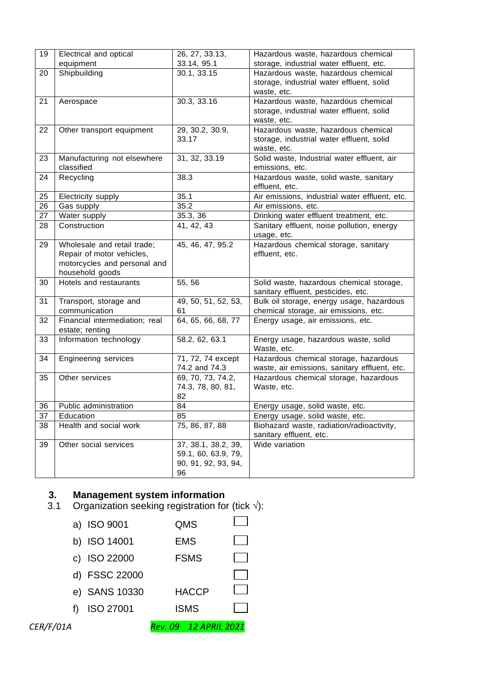| 19 | Electrical and optical         | 26, 27, 33.13,      | Hazardous waste, hazardous chemical                 |
|----|--------------------------------|---------------------|-----------------------------------------------------|
|    | equipment                      | 33.14, 95.1         | storage, industrial water effluent, etc.            |
| 20 | Shipbuilding                   | 30.1, 33.15         | Hazardous waste, hazardous chemical                 |
|    |                                |                     | storage, industrial water effluent, solid           |
|    |                                |                     | waste, etc.                                         |
| 21 | Aerospace                      | 30.3, 33.16         | Hazardous waste, hazardous chemical                 |
|    |                                |                     | storage, industrial water effluent, solid           |
|    |                                |                     | waste, etc.                                         |
| 22 | Other transport equipment      | 29, 30.2, 30.9,     | Hazardous waste, hazardous chemical                 |
|    |                                | 33.17               | storage, industrial water effluent, solid           |
|    |                                |                     | waste, etc.                                         |
| 23 | Manufacturing not elsewhere    | 31, 32, 33.19       | Solid waste, Industrial water effluent, air         |
|    | classified                     |                     | emissions, etc.                                     |
| 24 | Recycling                      | 38.3                | Hazardous waste, solid waste, sanitary              |
|    |                                |                     | effluent, etc.                                      |
| 25 | Electricity supply             | 35.1                | Air emissions, industrial water effluent, etc.      |
| 26 | Gas supply                     | 35.2                | Air emissions, etc.                                 |
| 27 | Water supply                   | 35.3, 36            | Drinking water effluent treatment, etc.             |
| 28 | Construction                   | 41, 42, 43          | Sanitary effluent, noise pollution, energy          |
|    |                                |                     | usage, etc.                                         |
| 29 | Wholesale and retail trade;    | 45, 46, 47, 95.2    | Hazardous chemical storage, sanitary                |
|    | Repair of motor vehicles,      |                     | effluent, etc.                                      |
|    | motorcycles and personal and   |                     |                                                     |
|    | household goods                |                     |                                                     |
| 30 | Hotels and restaurants         | 55, 56              | Solid waste, hazardous chemical storage,            |
|    |                                |                     | sanitary effluent, pesticides, etc.                 |
| 31 | Transport, storage and         | 49, 50, 51, 52, 53, | Bulk oil storage, energy usage, hazardous           |
|    | communication                  | 61                  | chemical storage, air emissions, etc.               |
| 32 | Financial intermediation; real | 64, 65, 66, 68, 77  | Energy usage, air emissions, etc.                   |
|    | estate; renting                |                     |                                                     |
| 33 | Information technology         | 58.2, 62, 63.1      | Energy usage, hazardous waste, solid<br>Waste, etc. |
| 34 | <b>Engineering services</b>    | 71, 72, 74 except   | Hazardous chemical storage, hazardous               |
|    |                                | 74.2 and 74.3       | waste, air emissions, sanitary effluent, etc.       |
| 35 | Other services                 | 69, 70, 73, 74.2,   | Hazardous chemical storage, hazardous               |
|    |                                | 74.3, 78, 80, 81,   | Waste, etc.                                         |
|    |                                | 82                  |                                                     |
| 36 | Public administration          | 84                  | Energy usage, solid waste, etc.                     |
| 37 | Education                      | 85                  | Energy usage, solid waste, etc.                     |
| 38 | Health and social work         | 75, 86, 87, 88      | Biohazard waste, radiation/radioactivity,           |
|    |                                |                     | sanitary effluent, etc.                             |
| 39 | Other social services          | 37, 38.1, 38.2, 39, | Wide variation                                      |
|    |                                | 59.1, 60, 63.9, 79, |                                                     |
|    |                                | 90, 91, 92, 93, 94, |                                                     |
|    |                                | 96                  |                                                     |

# **3. Management system information**

- 3.1 Organization seeking registration for (tick  $\sqrt{$ ):
- a) ISO 9001 QMS b) ISO 14001 EMS  $\overline{\phantom{0}}$ c) ISO 22000 FSMS d) FSSC 22000  $\overline{\phantom{0}}$ e) SANS 10330 HACCP  $\mathcal{L}_{\mathcal{A}}$ f) ISO 27001 ISMS $\mathcal{L}(\mathcal{A})$ *CER/F/01A Rev. 09 12 APRIL 2021*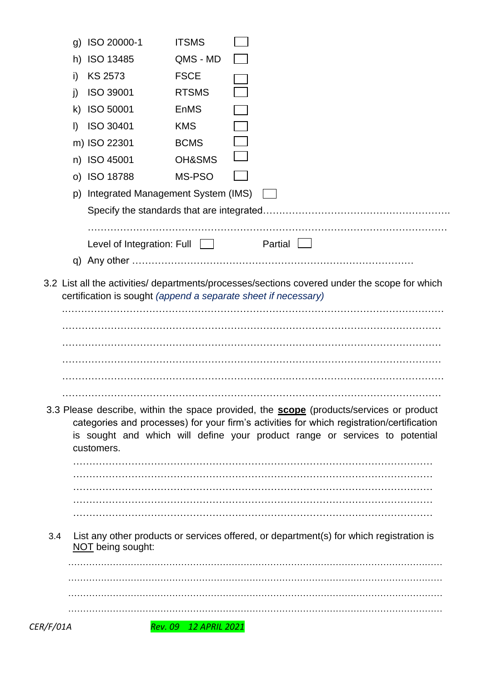| 3.4 | customers.<br>NOT being sought:          |                                  | 3.3 Please describe, within the space provided, the <b>scope</b> (products/services or product<br>categories and processes) for your firm's activities for which registration/certification<br>is sought and which will define your product range or services to potential<br>List any other products or services offered, or department(s) for which registration is |
|-----|------------------------------------------|----------------------------------|-----------------------------------------------------------------------------------------------------------------------------------------------------------------------------------------------------------------------------------------------------------------------------------------------------------------------------------------------------------------------|
|     |                                          |                                  |                                                                                                                                                                                                                                                                                                                                                                       |
|     |                                          |                                  |                                                                                                                                                                                                                                                                                                                                                                       |
|     |                                          |                                  |                                                                                                                                                                                                                                                                                                                                                                       |
|     |                                          |                                  |                                                                                                                                                                                                                                                                                                                                                                       |
|     |                                          |                                  |                                                                                                                                                                                                                                                                                                                                                                       |
|     |                                          |                                  |                                                                                                                                                                                                                                                                                                                                                                       |
|     |                                          |                                  |                                                                                                                                                                                                                                                                                                                                                                       |
|     |                                          |                                  |                                                                                                                                                                                                                                                                                                                                                                       |
|     |                                          |                                  |                                                                                                                                                                                                                                                                                                                                                                       |
|     |                                          |                                  |                                                                                                                                                                                                                                                                                                                                                                       |
|     |                                          |                                  |                                                                                                                                                                                                                                                                                                                                                                       |
|     |                                          |                                  |                                                                                                                                                                                                                                                                                                                                                                       |
|     |                                          |                                  |                                                                                                                                                                                                                                                                                                                                                                       |
|     |                                          |                                  |                                                                                                                                                                                                                                                                                                                                                                       |
|     |                                          |                                  |                                                                                                                                                                                                                                                                                                                                                                       |
|     |                                          |                                  |                                                                                                                                                                                                                                                                                                                                                                       |
|     |                                          |                                  | certification is sought (append a separate sheet if necessary)                                                                                                                                                                                                                                                                                                        |
|     |                                          |                                  | 3.2 List all the activities/ departments/processes/sections covered under the scope for which                                                                                                                                                                                                                                                                         |
|     |                                          |                                  |                                                                                                                                                                                                                                                                                                                                                                       |
|     | Level of Integration: Full               |                                  | Partial                                                                                                                                                                                                                                                                                                                                                               |
|     |                                          |                                  |                                                                                                                                                                                                                                                                                                                                                                       |
|     |                                          |                                  |                                                                                                                                                                                                                                                                                                                                                                       |
|     | Integrated Management System (IMS)<br>p) |                                  |                                                                                                                                                                                                                                                                                                                                                                       |
|     | n) ISO 45001<br>o) ISO 18788             | MS-PSO                           |                                                                                                                                                                                                                                                                                                                                                                       |
|     | m) ISO 22301                             | <b>BCMS</b><br><b>OH&amp;SMS</b> |                                                                                                                                                                                                                                                                                                                                                                       |
|     | ISO 30401<br>$\vert$                     | <b>KMS</b>                       |                                                                                                                                                                                                                                                                                                                                                                       |
|     | ISO 50001<br>k)                          | <b>EnMS</b>                      |                                                                                                                                                                                                                                                                                                                                                                       |
|     | <b>ISO 39001</b><br>j)                   | <b>RTSMS</b>                     |                                                                                                                                                                                                                                                                                                                                                                       |
|     | <b>KS 2573</b><br>i)                     | <b>FSCE</b>                      |                                                                                                                                                                                                                                                                                                                                                                       |
|     |                                          | QMS - MD                         |                                                                                                                                                                                                                                                                                                                                                                       |
|     | h) ISO 13485                             |                                  |                                                                                                                                                                                                                                                                                                                                                                       |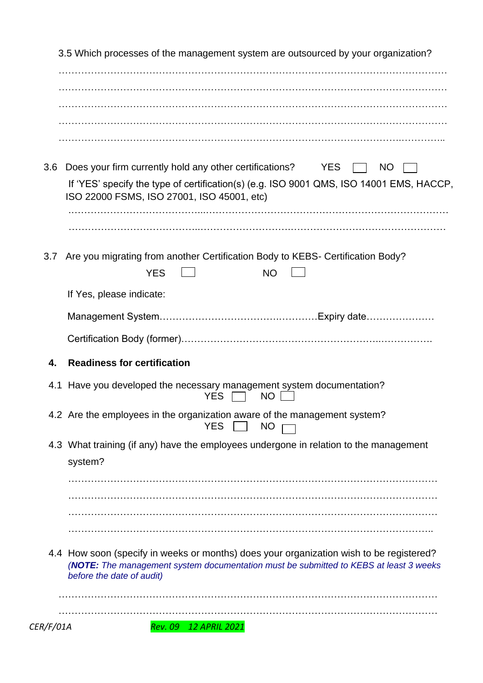| 3.6 | Does your firm currently hold any other certifications? YES<br>NO.<br>If 'YES' specify the type of certification(s) (e.g. ISO 9001 QMS, ISO 14001 EMS, HACCP,<br>ISO 22000 FSMS, ISO 27001, ISO 45001, etc)   |
|-----|---------------------------------------------------------------------------------------------------------------------------------------------------------------------------------------------------------------|
| 3.7 | Are you migrating from another Certification Body to KEBS- Certification Body?<br><b>YES</b><br>NO.                                                                                                           |
|     | If Yes, please indicate:                                                                                                                                                                                      |
|     |                                                                                                                                                                                                               |
|     |                                                                                                                                                                                                               |
| 4.  | <b>Readiness for certification</b>                                                                                                                                                                            |
|     | 4.1 Have you developed the necessary management system documentation?<br>YES<br><b>NO</b>                                                                                                                     |
|     | 4.2 Are the employees in the organization aware of the management system?<br><b>YES</b><br><b>NO</b>                                                                                                          |
|     | 4.3 What training (if any) have the employees undergone in relation to the management<br>system?                                                                                                              |
|     |                                                                                                                                                                                                               |
|     |                                                                                                                                                                                                               |
|     |                                                                                                                                                                                                               |
|     | 4.4 How soon (specify in weeks or months) does your organization wish to be registered?<br>(NOTE: The management system documentation must be submitted to KEBS at least 3 weeks<br>before the date of audit) |
|     |                                                                                                                                                                                                               |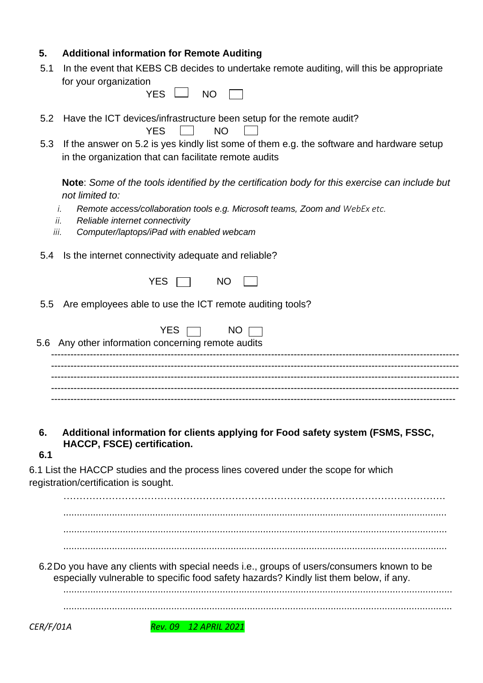# **5. Additional information for Remote Auditing**

5.1 In the event that KEBS CB decides to undertake remote auditing, will this be appropriate for your organization

| NΟ |  |
|----|--|
|    |  |

5.2 Have the ICT devices/infrastructure been setup for the remote audit?

**Solution STATES**  $\Box$  NO

5.3 If the answer on 5.2 is yes kindly list some of them e.g. the software and hardware setup in the organization that can facilitate remote audits

**Note**: *Some of the tools identified by the certification body for this exercise can include but not limited to:*

- *i. Remote access/collaboration tools e.g. Microsoft teams, Zoom and WebEx etc.*
- *ii. Reliable internet connectivity*
- *iii. Computer/laptops/iPad with enabled webcam*
- 5.4 Is the internet connectivity adequate and reliable?
	- $YES$  NO
- 5.5 Are employees able to use the ICT remote auditing tools?

| YES $\Box$ NO $\Box$<br>5.6 Any other information concerning remote audits |
|----------------------------------------------------------------------------|
|                                                                            |
|                                                                            |
|                                                                            |

**6. Additional information for clients applying for Food safety system (FSMS, FSSC, HACCP, FSCE) certification.**

**6.1**

6.1 List the HACCP studies and the process lines covered under the scope for which registration/certification is sought.

.............................................................................................................................................. .............................................................................................................................................. ..............................................................................................................................................

……………………………………………………………………………………………………….

6.2Do you have any clients with special needs i.e., groups of users/consumers known to be especially vulnerable to specific food safety hazards? Kindly list them below, if any.

................................................................................................................................................

................................................................................................................................................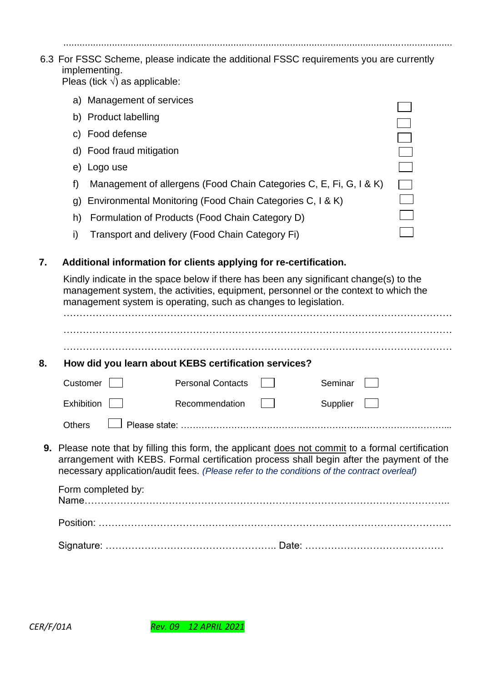| 6.3 For FSSC Scheme, please indicate the additional FSSC requirements you are currently |
|-----------------------------------------------------------------------------------------|
| implementing.                                                                           |
| $Dl$ aa (tiak il) oo anniisahay                                                         |

................................................................................................................................................

Pleas (tick √) as applicable:

- a) Management of services
- b) Product labelling
- c) Food defense
- d) Food fraud mitigation
- e) Logo use
- f) Management of allergens (Food Chain Categories C, E, Fi, G, I & K)
- g) Environmental Monitoring (Food Chain Categories C, I & K)
- h) Formulation of Products (Food Chain Category D)
- i) Transport and delivery (Food Chain Category Fi)

## **7. Additional information for clients applying for re-certification.**

Kindly indicate in the space below if there has been any significant change(s) to the management system, the activities, equipment, personnel or the context to which the management system is operating, such as changes to legislation.

| 8.            | How did you learn about KEBS certification services?                                                                                                                                                                                                                                                                      |                          |  |          |  |  |  |
|---------------|---------------------------------------------------------------------------------------------------------------------------------------------------------------------------------------------------------------------------------------------------------------------------------------------------------------------------|--------------------------|--|----------|--|--|--|
|               | Customer                                                                                                                                                                                                                                                                                                                  | <b>Personal Contacts</b> |  | Seminar  |  |  |  |
|               | Exhibition                                                                                                                                                                                                                                                                                                                | Recommendation           |  | Supplier |  |  |  |
| <b>Others</b> |                                                                                                                                                                                                                                                                                                                           |                          |  |          |  |  |  |
|               | <b>9.</b> Please note that by filling this form, the applicant does not commit to a formal certification<br>arrangement with KEBS. Formal certification process shall begin after the payment of the<br>necessary application/audit fees. (Please refer to the conditions of the contract overleaf)<br>Form completed by: |                          |  |          |  |  |  |
|               |                                                                                                                                                                                                                                                                                                                           |                          |  |          |  |  |  |
|               |                                                                                                                                                                                                                                                                                                                           |                          |  |          |  |  |  |

Signature: …………………………………………….. Date: ………………………….…………